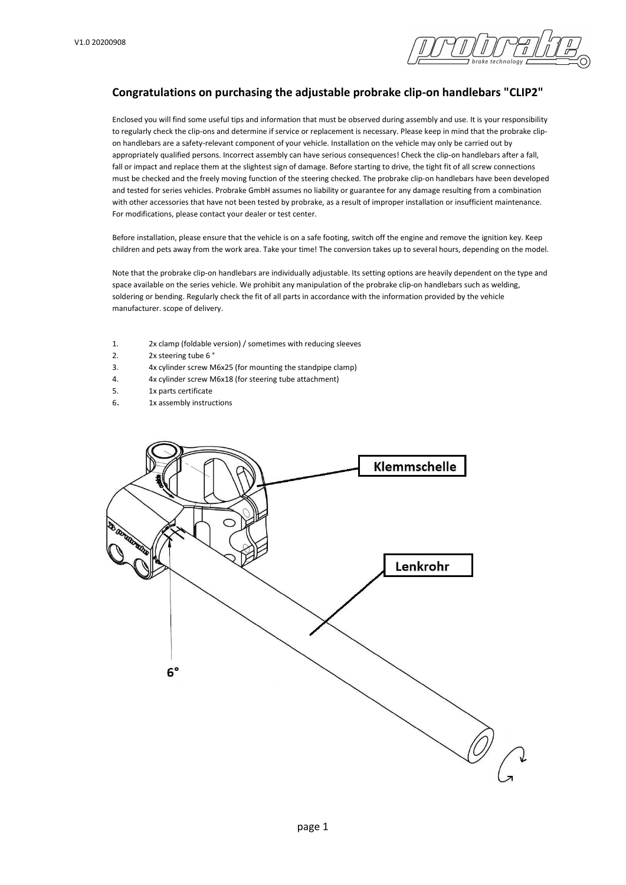

# Congratulations on purchasing the adjustable probrake clip-on handlebars "CLIP2"

Enclosed you will find some useful tips and information that must be observed during assembly and use. It is your responsibility to regularly check the clip-ons and determine if service or replacement is necessary. Please keep in mind that the probrake clipon handlebars are a safety-relevant component of your vehicle. Installation on the vehicle may only be carried out by appropriately qualified persons. Incorrect assembly can have serious consequences! Check the clip-on handlebars after a fall, fall or impact and replace them at the slightest sign of damage. Before starting to drive, the tight fit of all screw connections must be checked and the freely moving function of the steering checked. The probrake clip-on handlebars have been developed and tested for series vehicles. Probrake GmbH assumes no liability or guarantee for any damage resulting from a combination with other accessories that have not been tested by probrake, as a result of improper installation or insufficient maintenance. For modifications, please contact your dealer or test center.

Before installation, please ensure that the vehicle is on a safe footing, switch off the engine and remove the ignition key. Keep children and pets away from the work area. Take your time! The conversion takes up to several hours, depending on the model.

Note that the probrake clip-on handlebars are individually adjustable. Its setting options are heavily dependent on the type and space available on the series vehicle. We prohibit any manipulation of the probrake clip-on handlebars such as welding, soldering or bending. Regularly check the fit of all parts in accordance with the information provided by the vehicle manufacturer. scope of delivery.

- 1. 2x clamp (foldable version) / sometimes with reducing sleeves
- 2. 2x steering tube 6°
- 3. 4x cylinder screw M6x25 (for mounting the standpipe clamp)
- 4. 4x cylinder screw M6x18 (for steering tube attachment)
- 5. 1x parts certificate
- 6. 1x assembly instructions